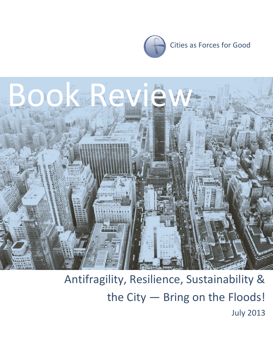



## Antifragility, Resilience, Sustainability & the City — Bring on the Floods! July 2013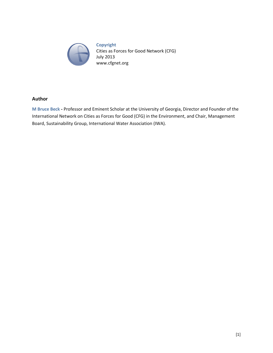

**Copyright** Cities as Forces for Good Network (CFG) July 2013 www.cfgnet.org

#### **Author**

**M Bruce Beck -** Professor and Eminent Scholar at the University of Georgia, Director and Founder of the International Network on Cities as Forces for Good (CFG) in the Environment, and Chair, Management Board, Sustainability Group, International Water Association (IWA).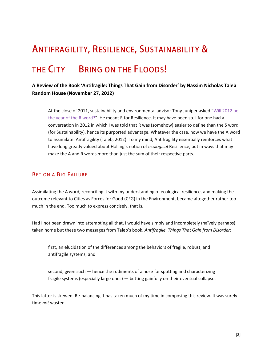# **ANTIFRAGILITY, RESILIENCE, SUSTAINABILITY &**

### THE  $CITY - BRING ON THE FLOODS!$

#### **A Review of the Book 'Antifragile: Things That Gain from Disorder' by Nassim Nicholas Taleb Random House (November 27, 2012)**

At the close of 2011, sustainability and environmental advisor Tony Juniper asked "[Will 2012 be](http://www.guardian.co.uk/sustainable-business/resiliance-sustainable-development)  [the year of the R word?](http://www.guardian.co.uk/sustainable-business/resiliance-sustainable-development)". He meant R for Resilience. It may have been so. I for one had a conversation in 2012 in which I was told that R was (somehow) easier to define than the S word (for Sustainability), hence its purported advantage. Whatever the case, now we have the A word to assimilate: Antifragility (Taleb, 2012). To my mind, Antifragility essentially reinforces what I have long greatly valued about Holling's notion of *ecological* Resilience, but in ways that may make the A and R words more than just the sum of their respective parts.

#### BET ON A BIG FAILURE

Assimilating the A word, reconciling it with my understanding of ecological resilience, and making the outcome relevant to Cities as Forces for Good (CFG) in the Environment, became altogether rather too much in the end. Too much to express concisely, that is.

Had I not been drawn into attempting all that, I would have simply and incompletely (naïvely perhaps) taken home but these two messages from Taleb's book, *Antifragile. Things That Gain from Disorder*:

first, an elucidation of the differences among the behaviors of fragile, robust, and antifragile systems; and

second, given such — hence the rudiments of a nose for spotting and characterizing fragile systems (especially large ones) — betting gainfully on their eventual collapse.

This latter is skewed. Re-balancing it has taken much of my time in composing this review. It was surely time *not* wasted.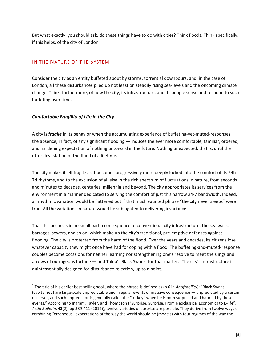But what exactly, you should ask, do these things have to do with cities? Think floods. Think specifically, if this helps, of the city of London.

#### IN THE NATURE OF THE SYSTEM

Consider the city as an entity buffeted about by storms, torrential downpours, and, in the case of London, all these disturbances piled up not least on steadily rising sea-levels and the oncoming climate change. Think, furthermore, of how the city, its infrastructure, and its people sense and respond to such buffeting over time.

#### *Comfortable Fragility of Life in the City*

 $\overline{a}$ 

A city is *fragile* in its behavior when the accumulating experience of buffeting-yet-muted-responses the absence, in fact, of any significant flooding — induces the ever more comfortable, familiar, ordered, and hardening expectation of nothing untoward in the future. Nothing unexpected, that is, until the utter devastation of the flood of a lifetime.

The city makes itself fragile as it becomes progressively more deeply locked into the comfort of its 24h-7d rhythms, and to the exclusion of all else in the rich spectrum of fluctuations in nature, from seconds and minutes to decades, centuries, millennia and beyond. The city appropriates its services from the environment in a manner dedicated to serving the comfort of just this narrow 24-7 bandwidth. Indeed, all rhythmic variation would be flattened out if that much vaunted phrase "the city never sleeps" were true. All the variations in nature would be subjugated to delivering invariance.

That this occurs is in no small part a consequence of conventional city infrastructure: the sea walls, barrages, sewers, and so on, which make up the city's traditional, pre-emptive defenses against flooding. The city is protected from the harm of the flood. Over the years and decades, its citizens lose whatever capacity they might once have had for coping with a flood. The buffeting-and-muted-response couples become occasions for neither learning nor strengthening one's resolve to meet the slings and arrows of outrageous fortune  $-$  and Taleb's Black Swans, for that matter.<sup>1</sup> The city's infrastructure is quintessentially designed for disturbance rejection, up to a point.

<sup>1</sup> The title of his earlier best-selling book, where the phrase is defined as (p 6 in *Antifragility*): "Black Swans (capitalized) are large-scale unpredictable and irregular events of massive consequence — unpredicted by a certain observer, and such unpredictor is generally called the "turkey" when he is both surprised and harmed by these events." According to Ingram, Tayler, and Thompson ("Surprise, Surprise. From Neoclassical Economics to E-life", *Astin Bulletin*, **42**(2), pp 389-411 (2012)), twelve varieties of surprise are possible. They derive from twelve ways of combining "erroneous" expectations of the way the world should be (models) with four regimes of the way the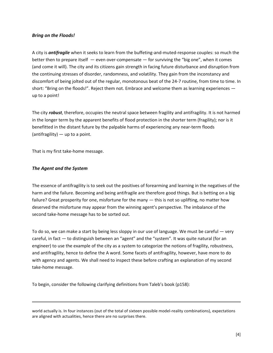#### *Bring on the Floods!*

A city is *antifragile* when it seeks to learn from the buffeting-and-muted-response couples: so much the better then to prepare itself — even over-compensate — for surviving the "big one", when it comes (and come it will). The city and its citizens gain strength in facing future disturbance and disruption from the continuing stresses of disorder, randomness, and volatility. They gain from the inconstancy and discomfort of being jolted out of the regular, monotonous beat of the 24-7 routine, from time to time. In short: "Bring on the floods!". Reject them not. Embrace and welcome them as learning experiences up to a point!

The city *robust*, therefore, occupies the neutral space between fragility and antifragility. It is not harmed in the longer term by the apparent benefits of flood protection in the shorter term (fragility); nor is it benefitted in the distant future by the palpable harms of experiencing any near-term floods (antifragility) — up to a point.

That is my first take-home message.

#### *The Agent and the System*

l

The essence of antifragility is to seek out the positives of forearming and learning in the negatives of the harm and the failure. Becoming and being antifragile are therefore good things. But is betting on a big failure? Great prosperity for one, misfortune for the many — this is not so uplifting, no matter how deserved the misfortune may appear from the winning agent's perspective. The imbalance of the second take-home message has to be sorted out.

To do so, we can make a start by being less sloppy in our use of language. We must be careful — very careful, in fact — to distinguish between an "agent" and the "system". It was quite natural (for an engineer) to use the example of the city as a system to categorize the notions of fragility, robustness, and antifragility, hence to define the A word. Some facets of antifragility, however, have more to do with agency and agents. We shall need to inspect these before crafting an explanation of my second take-home message.

To begin, consider the following clarifying definitions from Taleb's book (p158):

world actually is. In four instances (out of the total of sixteen possible model-reality combinations), expectations are aligned with actualities, hence there are no surprises there.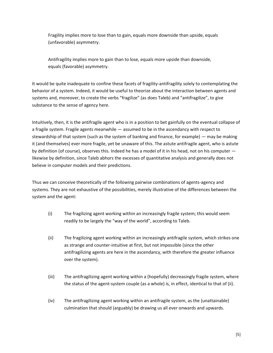Fragility implies more to lose than to gain, equals more downside than upside, equals (unfavorable) asymmetry.

Antifragility implies more to gain than to lose, equals more upside than downside, equals (favorable) asymmetry.

It would be quite inadequate to confine these facets of fragility-antifragility solely to contemplating the behavior of a system. Indeed, it would be useful to theorize about the interaction between agents and systems and, moreover, to create the verbs "fragilize" (as does Taleb) and "antifragilize", to give substance to the sense of agency here.

Intuitively, then, it is the antifragile agent who is in a position to bet gainfully on the eventual collapse of a fragile system. Fragile agents meanwhile — assumed to be in the ascendancy with respect to stewardship of that system (such as the system of banking and finance, for example) — may be making it (and themselves) ever more fragile, yet be unaware of this. The astute antifragile agent, who is astute by definition (of course), observes this. Indeed he has a model of it in his head, not on his computer likewise by definition, since Taleb abhors the excesses of quantitative analysis and generally does not believe in computer models and their predictions.

Thus we can conceive theoretically of the following pairwise combinations of agents-agency and systems. They are not exhaustive of the possibilities, merely illustrative of the differences between the system and the agent:

- (i) The fragilizing agent working within an increasingly fragile system; this would seem readily to be largely the "way of the world", according to Taleb.
- (ii) The fragilizing agent working within an increasingly antifragile system, which strikes one as strange and counter-intuitive at first, but not impossible (since the other antifragilizing agents are here in the ascendancy, with therefore the greater influence over the system).
- (iii) The antifragilizing agent working within a (hopefully) decreasingly fragile system, where the status of the agent-system couple (as a whole) is, in effect, identical to that of (ii).
- (iv) The antifragilizing agent working within an antifragile system, as the (unattainable) culmination that should (arguably) be drawing us all ever onwards and upwards.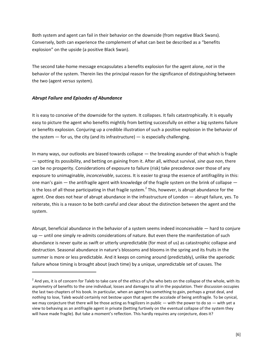Both system and agent can fail in their behavior on the downside (from negative Black Swans). Conversely, both can experience the complement of what can best be described as a "benefits explosion" on the upside (a positive Black Swan).

The second take-home message encapsulates a benefits explosion for the agent alone, *not* in the behavior of the system. Therein lies the principal reason for the significance of distinguishing between the two (agent *versus* system).

#### *Abrupt Failure and Episodes of Abundance*

 $\overline{a}$ 

It is easy to conceive of the downside for the system. It collapses. It fails catastrophically. It is equally easy to picture the agent who benefits mightily from betting successfully on either a big systems failure or benefits explosion. Conjuring up a credible illustration of such a positive explosion in the behavior of the system  $-$  for us, the city (and its infrastructure)  $-$  is especially challenging.

In many ways, our outlooks are biased towards collapse — the breaking asunder of that which is fragile — spotting its possibility, and betting on gaining from it. After all, without survival, *sine qua non*, there can be no prosperity. Considerations of exposure to failure (risk) take precedence over those of any exposure to unimaginable, *inconceivable*, success. It is easier to grasp the essence of antifragility in this: one man's gain — the antifragile agent with knowledge of the fragile system on the brink of collapse is the loss of all those participating in that fragile system.<sup>2</sup> This, however, is abrupt abundance for the agent. One does not hear of abrupt abundance in the infrastructure of London — abrupt failure, yes. To reiterate, this is a reason to be both careful and clear about the distinction between the agent and the system.

Abrupt, beneficial abundance in the behavior of a system seems indeed inconceivable — hard to conjure up — until one simply re-admits considerations of nature. But even there the manifestation of such abundance is never quite as swift or utterly unpredictable (for most of us) as catastrophic collapse and destruction. Seasonal abundance in nature's blossoms and blooms in the spring and its fruits in the summer is more or less predictable. And it keeps on coming around (predictably), unlike the aperiodic failure whose timing is brought about (each time) by a unique, unpredictable set of causes. The

 $^2$  And yes, it is of concern for Taleb to take care of the ethics of s/he who bets on the collapse of the whole, with its asymmetry of benefits to the one individual, losses and damages to all in the population. Their discussion occupies the last two chapters of his book. In particular, when an agent has something to gain, perhaps a great deal, and *nothing* to lose, Taleb would certainly not bestow upon that agent the accolade of being antifragile. To be cynical, we may conjecture that there will be those acting as fragilizers in public — with the power to do so — with yet a view to behaving as an antifragile agent in private (betting furtively on the eventual collapse of the system they will have made fragile). But take a moment's reflection. This hardly requires any conjecture, does it?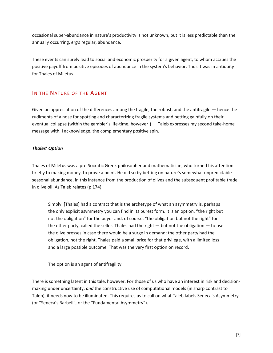occasional super-abundance in nature's productivity is not unknown, but it is less predictable than the annually occurring, *ergo* regular, abundance.

These events can surely lead to social and economic prosperity for a given agent, to whom accrues the positive payoff from positive episodes of abundance in the system's behavior. Thus it was in antiquity for Thales of Miletus.

#### IN THE NATURE OF THE AGENT

Given an appreciation of the differences among the fragile, the robust, and the antifragile — hence the rudiments of a nose for spotting and characterizing fragile systems and betting gainfully on their eventual collapse (within the gambler's life-time, however!) — Taleb expresses my second take-home message with, I acknowledge, the complementary positive spin.

#### *Thales' Option*

Thales of Miletus was a pre-Socratic Greek philosopher and mathematician, who turned his attention briefly to making money, to prove a point. He did so by betting on nature's somewhat unpredictable seasonal abundance, in this instance from the production of olives and the subsequent profitable trade in olive oil. As Taleb relates (p 174):

Simply, [Thales] had a contract that is the archetype of what an asymmetry is, perhaps the only explicit asymmetry you can find in its purest form. It is an option, "the right but not the obligation" for the buyer and, of course, "the obligation but not the right" for the other party, called the seller. Thales had the right  $-$  but not the obligation  $-$  to use the olive presses in case there would be a surge in demand; the other party had the obligation, not the right. Thales paid a small price for that privilege, with a limited loss and a large possible outcome. That was the very first option on record.

The option is an agent of antifragility.

There is something latent in this tale, however. For those of us who have an interest in risk and decisionmaking under uncertainty, *and* the constructive use of computational models (in sharp contrast to Taleb), it needs now to be illuminated. This requires us to call on what Taleb labels Seneca's Asymmetry (or "Seneca's Barbell", or the "Fundamental Asymmetry").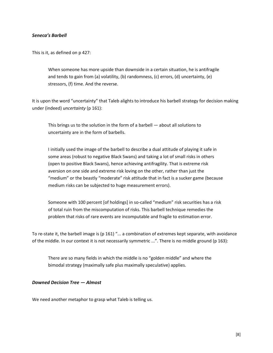#### *Seneca's Barbell*

This is it, as defined on p 427:

When someone has more upside than downside in a certain situation, he is antifragile and tends to gain from (a) volatility, (b) randomness, (c) errors, (d) uncertainty, (e) stressors, (f) time. And the reverse.

It is upon the word "uncertainty" that Taleb alights to introduce his barbell strategy for decision making under (indeed) *uncertainty* (p 161):

This brings us to the solution in the form of a barbell — about all solutions to uncertainty are in the form of barbells.

I initially used the image of the barbell to describe a dual attitude of playing it safe in some areas (robust to negative Black Swans) and taking a lot of small risks in others (open to positive Black Swans), hence achieving antifragility. That is extreme risk aversion on one side and extreme risk loving on the other, rather than just the "medium" or the beastly "moderate" risk attitude that in fact is a sucker game (because medium risks can be subjected to huge measurement errors).

Someone with 100 percent [of holdings] in so-called "medium" risk securities has a risk of total ruin from the miscomputation of risks. This barbell technique remedies the problem that risks of rare events are incomputable and fragile to estimation error.

To re-state it, the barbell image is (p 161) "... a combination of extremes kept separate, with avoidance of the middle. In our context it is not necessarily symmetric ...". There is no middle ground (p 163):

There are so many fields in which the middle is no "golden middle" and where the bimodal strategy (maximally safe plus maximally speculative) applies.

#### *Downed Decision Tree — Almost*

We need another metaphor to grasp what Taleb is telling us.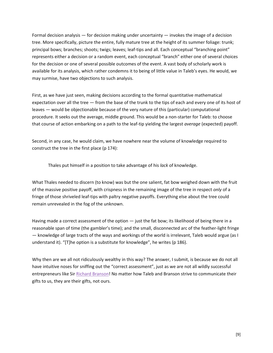Formal decision analysis — for decision making under uncertainty — invokes the image of a decision tree. More specifically, picture the entire, fully mature tree at the height of its summer foliage: trunk; principal bows; branches; shoots; twigs; leaves; leaf-tips and all. Each conceptual "branching point" represents either a decision or a random event, each conceptual "branch" either one of several choices for the decision or one of several possible outcomes of the event. A vast body of scholarly work is available for its analysis, which rather condemns it to being of little value in Taleb's eyes. He would, we may surmise, have two objections to such analysis.

First, as we have just seen, making decisions according to the formal quantitative mathematical expectation over all the tree — from the base of the trunk to the tips of each and every one of its host of leaves — would be objectionable because of the very nature of this (particular) computational procedure. It seeks out the average, middle ground. This would be a non-starter for Taleb: to choose that course of action embarking on a path to the leaf-tip yielding the largest *average* (expected) payoff.

Second, in any case, he would claim, we have nowhere near the volume of knowledge required to construct the tree in the first place (p 174):

Thales put himself in a position to take advantage of his *lack* of knowledge.

What Thales needed to discern (to know) was but the one salient, fat bow weighed down with the fruit of the massive positive payoff, with crispness in the remaining image of the tree in respect *only* of a fringe of those shriveled leaf-tips with paltry negative payoffs. Everything else about the tree could remain unrevealed in the fog of the unknown.

Having made a correct assessment of the option — just the fat bow; its likelihood of being there in a reasonable span of time (the gambler's time); and the small, disconnected arc of the feather-light fringe — knowledge of large tracts of the ways and workings of the world is irrelevant, Taleb would argue (as I understand it). "[T]he option is a substitute for knowledge", he writes (p 186).

Why then are we all not ridiculously wealthy in this way? The answer, I submit, is because we do not all have intuitive noses for sniffing out the "correct assessment", just as we are not all wildly successful entrepreneurs like Sir [Richard Branson!](http://cfgnet.org/archives/945) No matter how Taleb and Branson strive to communicate their gifts to us, they are their gifts, not ours.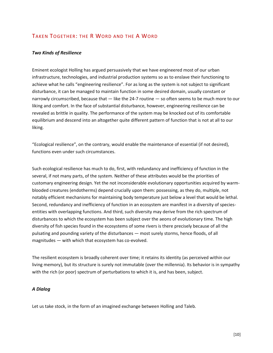#### TAKEN TOGETHER: THE R WORD AND THE A WORD

#### *Two Kinds of Resilience*

Eminent ecologist Holling has argued persuasively that we have engineered most of our urban infrastructure, technologies, and industrial production systems so as to enslave their functioning to achieve what he calls "engineering resilience". For as long as the system is not subject to significant disturbance, it can be managed to maintain function in some desired domain, usually constant or narrowly circumscribed, because that — like the 24-7 routine — so often seems to be much more to our liking and comfort. In the face of substantial disturbance, however, engineering resilience can be revealed as brittle in quality. The performance of the system may be knocked out of its comfortable equilibrium and descend into an altogether quite different pattern of function that is not at all to our liking.

"Ecological resilience", on the contrary, would enable the maintenance of essential (if not desired), functions even under such circumstances.

Such ecological resilience has much to do, first, with redundancy and inefficiency of function in the several, if not many parts, of the system. Neither of these attributes would be the priorities of customary engineering design. Yet the not inconsiderable evolutionary opportunities acquired by warmblooded creatures (endotherms) depend crucially upon them: possessing, as they do, multiple, not notably efficient mechanisms for maintaining body temperature just below a level that would be lethal. Second, redundancy and inefficiency of function in an ecosystem are manifest in a diversity of speciesentities with overlapping functions. And third, such diversity may derive from the rich spectrum of disturbances to which the ecosystem has been subject over the aeons of evolutionary time. The high diversity of fish species found in the ecosystems of some rivers is there precisely because of all the pulsating and pounding variety of the disturbances — most surely storms, hence floods, of all magnitudes — with which that ecosystem has co-evolved.

The resilient ecosystem is broadly coherent over time; it retains its identity (as perceived within our living memory), but its structure is surely not immutable (over the millennia). Its behavior is in sympathy with the rich (or poor) spectrum of perturbations to which it is, and has been, subject.

#### *A Dialog*

Let us take stock, in the form of an imagined exchange between Holling and Taleb.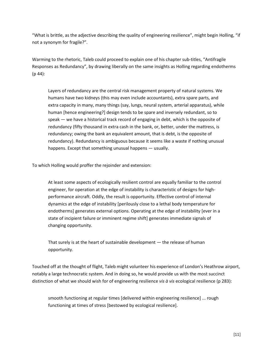"What is brittle, as the adjective describing the quality of engineering resilience", might begin Holling, "if not a synonym for fragile?".

Warming to the rhetoric, Taleb could proceed to explain one of his chapter sub-titles, "Antifragile Responses as Redundancy", by drawing liberally on the same insights as Holling regarding endotherms (p 44):

Layers of redundancy are the central risk management property of natural systems. We humans have two kidneys (this may even include accountants), extra spare parts, and extra capacity in many, many things (say, lungs, neural system, arterial apparatus), while human [hence engineering?] design tends to be spare and inversely redundant, so to speak — we have a historical track record of engaging in debt, which is the opposite of redundancy (fifty thousand in extra cash in the bank, or, better, under the mattress, is redundancy; owing the bank an equivalent amount, that is debt, is the opposite of redundancy). Redundancy is ambiguous because it seems like a waste if nothing unusual happens. Except that something unusual happens — usually.

To which Holling would proffer the rejoinder and extension:

At least some aspects of ecologically resilient control are equally familiar to the control engineer, for operation at the edge of instability is characteristic of designs for highperformance aircraft. Oddly, the result is opportunity. Effective control of internal dynamics at the edge of instability [perilously close to a lethal body temperature for endotherms] generates external options. Operating at the edge of instability [ever in a state of incipient failure or imminent regime shift] generates immediate signals of changing opportunity.

That surely is at the heart of sustainable development — the release of human opportunity.

Touched off at the thought of flight, Taleb might volunteer his experience of London's Heathrow airport, notably a large technocratic system. And in doing so, he would provide us with the most succinct distinction of what we should wish for of engineering resilience *vis à vis* ecological resilience (p 283):

smooth functioning at regular times [delivered within engineering resilience] ... rough functioning at times of stress [bestowed by ecological resilience].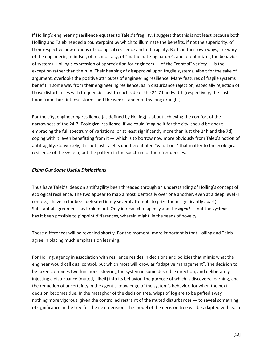If Holling's engineering resilience equates to Taleb's fragility, I suggest that this is not least because both Holling and Taleb needed a counterpoint by which to illuminate the benefits, if not the superiority, of their respective new notions of ecological resilience and antifragility. Both, in their own ways, are wary of the engineering mindset, of technocracy, of "mathematizing nature", and of optimizing the behavior of systems. Holling's expression of appreciation for engineers — of the "control" variety — is the exception rather than the rule. Their heaping of disapproval upon fragile systems, albeit for the sake of argument, overlooks the positive attributes of engineering resilience. Many features of fragile systems benefit in some way from their engineering resilience, as in disturbance rejection, especially rejection of those disturbances with frequencies just to each side of the 24-7 bandwidth (respectively, the flash flood from short intense storms and the weeks- and months-long drought).

For the city, engineering resilience (as defined by Holling) is about achieving the comfort of the narrowness of the 24-7. Ecological resilience, if we could imagine it for the city, should be about embracing the full spectrum of variations (or at least significantly more than just the 24h and the 7d), coping with it, even benefitting from it — which is to borrow now more obviously from Taleb's notion of antifragility. Conversely, it is not just Taleb's undifferentiated "variations" that matter to the ecological resilience of the system, but the pattern in the spectrum of their frequencies.

#### *Eking Out Some Useful Distinctions*

Thus have Taleb's ideas on antifragility been threaded through an understanding of Holling's concept of ecological resilience. The two appear to map almost identically over one another, even at a deep level (I confess, I have so far been defeated in my several attempts to prize them significantly apart). Substantial agreement has broken out. Only in respect of agency and the *agent* — not the *system* has it been possible to pinpoint differences, wherein might lie the seeds of novelty.

These differences will be revealed shortly. For the moment, more important is that Holling and Taleb agree in placing much emphasis on learning.

For Holling, agency in association with resilience resides in decisions and policies that mimic what the engineer would call dual control, but which most will know as "adaptive management". The decision to be taken combines two functions: steering the system in some desirable direction; and deliberately injecting a disturbance (muted, albeit) into its behavior, the purpose of which is discovery, learning, and the reduction of uncertainty in the agent's knowledge of the system's behavior, for when the next decision becomes due. In the metaphor of the decision tree, wisps of fog are to be puffed away nothing more vigorous, given the controlled restraint of the muted disturbances — to reveal something of significance in the tree for the next decision. The model of the decision tree will be adapted with each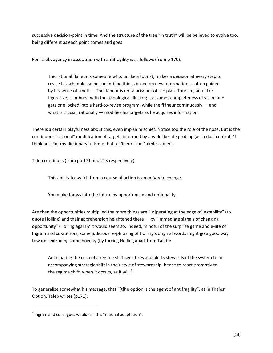successive decision-point in time. And the structure of the tree "in truth" will be believed to evolve too, being different as each point comes and goes.

For Taleb, agency in association with antifragility is as follows (from p 170):

The rational flâneur is someone who, unlike a tourist, makes a decision at every step to revise his schedule, so he can imbibe things based on new information ... often guided by his sense of smell. ... The flâneur is not a prisoner of the plan. Tourism, actual or figurative, is imbued with the teleological illusion; it assumes completeness of vision and gets one locked into a hard-to-revise program, while the flâneur continuously — and, what is crucial, rationally — modifies his targets as he acquires information.

There is a certain playfulness about this, even impish mischief. Notice too the role of the nose. But is the continuous "rational" modification of targets informed by any deliberate probing (as in dual control)? I think not. For my dictionary tells me that a flâneur is an "aimless idler".

Taleb continues (from pp 171 and 213 respectively):

This ability to switch from a course of action is an *option* to change.

You make forays into the future by opportunism and optionality.

Are then the opportunities multiplied the more things are "[o]perating at the edge of instability" (to quote Holling) and their apprehension heightened there — by "immediate signals of changing opportunity" (Holling again)? It would seem so. Indeed, mindful of the surprise game and e-life of Ingram and co-authors, some judicious re-phrasing of Holling's original words might go a good way towards extruding some novelty (by forcing Holling apart from Taleb):

Anticipating the cusp of a regime shift sensitizes and alerts stewards of the system to an accompanying strategic shift in their style of stewardship, hence to react promptly to the regime shift, when it occurs, as it will. $3$ 

To generalize somewhat his message, that "[t]he option is the agent of antifragility", as in Thales' Option, Taleb writes (p171):

l

 $3$  Ingram and colleagues would call this "rational adaptation".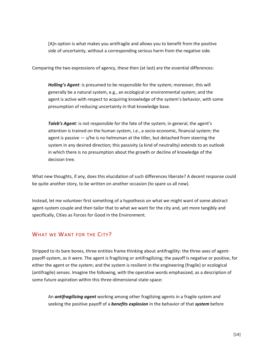[A]n option is what makes you antifragile and allows you to benefit from the positive side of uncertainty, without a corresponding serious harm from the negative side.

Comparing the two expressions of agency, these then (at last) are the essential differences:

*Holling's Agent*: is presumed to be responsible for the system; moreover, this will generally be a natural system, e.g., an ecological or environmental system; and the agent is active with respect to acquiring knowledge of the system's behavior, with some presumption of reducing uncertainty in that knowledge base.

*Taleb's Agent*: is not responsible for the fate of the system; in general, the agent's attention is trained on the human system, i.e., a socio-economic, financial system; the agent is passive  $-$  s/he is no helmsman at the tiller, but detached from steering the system in any desired direction; this passivity (a kind of neutrality) extends to an outlook in which there is no presumption about the growth or decline of knowledge of the decision tree.

What new thoughts, if any, does this elucidation of such differences liberate? A decent response could be quite another story, to be written on another occasion (to spare us all now).

Instead, let me volunteer first something of a hypothesis on what we might want of some abstract agent-system couple and then tailor that to what we want for the city and, yet more tangibly and specifically, Cities as Forces for Good in the Environment.

#### WHAT WE WANT FOR THE CITY?

Stripped to its bare bones, three entities frame thinking about antifragility: the three axes of agentpayoff-system, as it were. The agent is fragilizing or antifragilizing; the payoff is negative or positive, for either the agent or the system; and the system is resilient in the engineering (fragile) or ecological (antifragile) senses. Imagine the following, with the operative words emphasized, as a description of some future aspiration within this three-dimensional state-space:

An *antifragilizing agent* working among other fragilizing agents in a fragile system and seeking the positive payoff of a *benefits explosion* in the behavior of that *system* before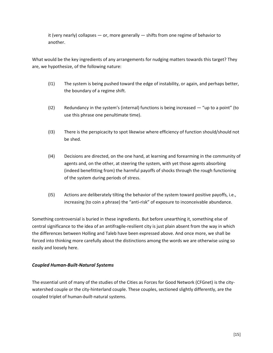it (very nearly) collapses  $-$  or, more generally  $-$  shifts from one regime of behavior to another.

What would be the key ingredients of any arrangements for nudging matters towards this target? They are, we hypothesize, of the following nature:

- (I1) The system is being pushed toward the edge of instability, or again, and perhaps better, the boundary of a regime shift.
- (I2) Redundancy in the system's (internal) functions is being increased "up to a point" (to use this phrase one penultimate time).
- (I3) There is the perspicacity to spot likewise where efficiency of function should/should not be shed.
- (I4) Decisions are directed, on the one hand, at learning and forearming in the community of agents and, on the other, at steering the system, with yet those agents absorbing (indeed benefitting from) the harmful payoffs of shocks through the rough functioning of the system during periods of stress.
- (I5) Actions are deliberately tilting the behavior of the system toward positive payoffs, i.e., increasing (to coin a phrase) the "anti-risk" of exposure to inconceivable abundance.

Something controversial is buried in these ingredients. But before unearthing it, something else of central significance to the idea of an antifragile-resilient city is just plain absent from the way in which the differences between Holling and Taleb have been expressed above. And once more, we shall be forced into thinking more carefully about the distinctions among the words we are otherwise using so easily and loosely here.

#### *Coupled Human-Built-Natural Systems*

The essential unit of many of the studies of the Cities as Forces for Good Network (CFGnet) is the citywatershed couple or the city-hinterland couple. These couples, sectioned slightly differently, are the coupled triplet of human-*built*-natural systems.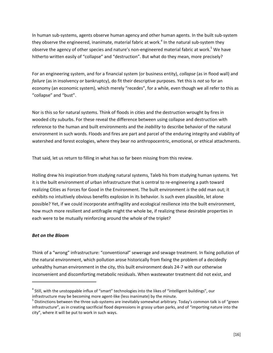In human sub-systems, agents observe human agency and other human agents. In the built sub-system they observe the engineered, inanimate, material fabric at work.<sup>4</sup> In the natural sub-system they observe the agency of other species and nature's non-engineered material fabric at work.<sup>5</sup> We have hitherto written easily of "collapse" and "destruction". But what do they mean, more precisely?

For an engineering system, and for a financial system (or business entity), *collapse* (as in flood wall) and *failure* (as in insolvency or bankruptcy), do fit their descriptive purposes. Yet this is *not* so for an economy (an economic system), which merely "recedes", for a while, even though we all refer to this as "collapse" and "bust".

Nor is this so for natural systems. Think of floods in cities and the destruction wrought by fires in wooded city suburbs. For these reveal the difference between using collapse and destruction with reference to the human and built environments and the *inability* to describe behavior of the natural environment in such words. Floods and fires are part and parcel of the enduring integrity and viability of watershed and forest ecologies, where they bear no anthropocentric, emotional, or ethical attachments.

That said, let us return to filling in what has so far been missing from this review.

Holling drew his inspiration from studying natural systems, Taleb his from studying human systems. Yet it is the built environment of urban infrastructure that is central to re-engineering a path toward realizing Cities as Forces for Good in the Environment. The built environment *is* the odd man out; it exhibits no intuitively obvious benefits explosion in its behavior. Is such even plausible, let alone possible? Yet, if we could incorporate antifragility and ecological resilience into the built environment, how much more resilient and antifragile might the whole be, if realizing these desirable properties in each were to be mutually reinforcing around the whole of the triplet?

#### *Bet on the Bloom*

l

Think of a "wrong" infrastructure: "conventional" sewerage and sewage treatment. In fixing pollution of the natural environment, which pollution arose historically from fixing the problem of a decidedly unhealthy human environment in the city, this built environment deals 24-7 with our otherwise inconvenient and discomforting metabolic residuals. When wastewater treatment did not exist, and

<sup>&</sup>lt;sup>4</sup> Still, with the unstoppable influx of "smart" technologies into the likes of "intelligent buildings", our infrastructure may be becoming more agent-like (less inanimate) by the minute.

 $^5$  Distinctions between the three sub-systems are inevitably somewhat arbitrary. Today's common talk is of "green infrastructure", as in creating sacrificial flood depressions in grassy urban parks, and of "importing nature into the city", where it will be put to work in such ways.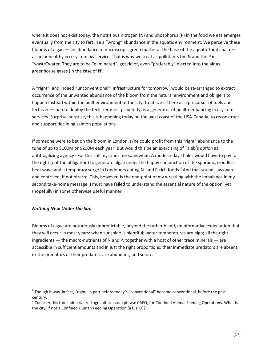where it does not exist today, the nutritious nitrogen (N) and phosphorus (P) in the food we eat emerges eventually from the city to fertilize a "wrong" abundance in the aquatic environment. We perceive these blooms of algae — an abundance of microscopic green matter at the base of the aquatic food chain as an unhealthy eco-system *dis*-service. That is why we treat as pollutants the N and the P in "waste"water. They are to be "eliminated", got rid of, even "preferably" ejected into the air as greenhouse gases (in the case of N).

A "right", and indeed "unconventional", infrastructure for tomorrow<sup>6</sup> would be re-arranged to extract occurrence of the unwanted abundance of the bloom from the natural environment and oblige it to happen instead within the built environment of the city, to utilize it there as a precursor of fuels and fertilizer — *and* to deploy the fertilizer most prudently as a generator of health-enhancing ecosystem services. Surprise, surprise, this is happening today on the west coast of the USA-Canada, to reconstruct and support declining salmon populations.

If someone were to bet on the bloom in London, s/he could profit from this "right" abundance to the tune of up to \$100M or \$200M each year. But would this be an exercising of Taleb's *option* as antifragilizing agency? For this still mystifies me somewhat. A modern-day Thales would have to pay for the right (not the obligation) to generate algae under the happy conjunction of the sporadic, cloudless, heat wave and a temporary surge in Londoners eating N- and P-rich foods.<sup>7</sup> And that sounds awkward and contrived, if not bizarre. This, however, is the end-point of my wrestling with the imbalance in my second take-home message. I must have failed to understand the essential nature of the option, yet (hopefully) in some otherwise useful manner.

#### *Nothing New Under the Sun*

 $\overline{a}$ 

Blooms of algae are notoriously unpredictable, beyond the rather bland, uninformative expectation that they will occur in most years: when sunshine is plentiful; water temperatures are high; all the right ingredients — the macro-nutrients of N and P, together with a host of other trace minerals — are accessible in sufficient amounts and in just the right proportions; their immediate predators are absent; or the predators of their predators are abundant; and so on ...

 $^6$  Though it was, in fact, "right" in part before today's "conventional" become conventional, before the past century.

 $^7$  Consider this too. Industrialized agriculture has a phrase CAFO, for Confined Animal Feeding Operations. What is the city, if not a Confined Human Feeding Operation (a CHFO)?